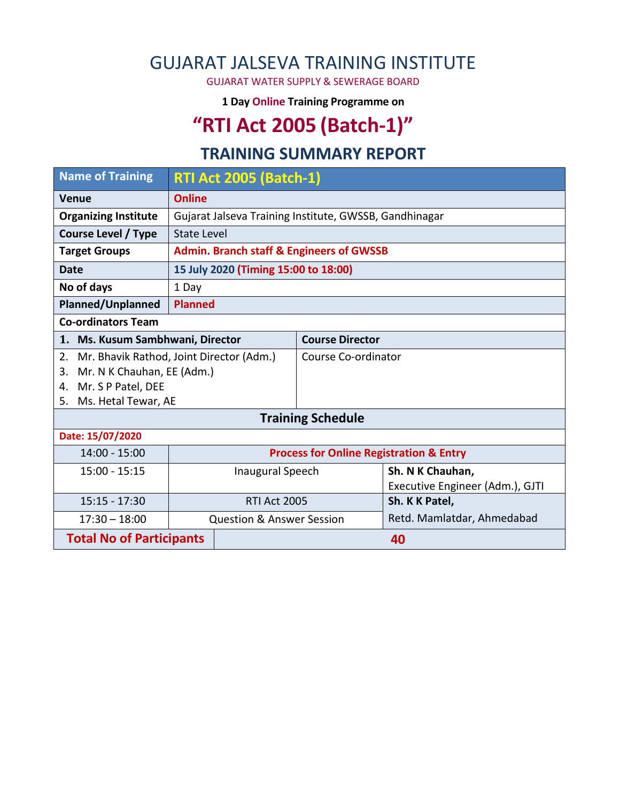### GUJARAT JALSEVA TRAINING INSTITUTE

GUJARAT WATER SUPPLY & SEWERAGE BOARD

**1 Day Online Training Programme on** 

# **"RTI Act 2005 (Batch-1)"**

#### **TRAINING SUMMARY REPORT**

| <b>Name of Training</b>                          | <b>RTI Act 2005 (Batch-1)</b>                      |                                                        |                            |                                 |  |  |  |
|--------------------------------------------------|----------------------------------------------------|--------------------------------------------------------|----------------------------|---------------------------------|--|--|--|
| <b>Venue</b>                                     | <b>Online</b>                                      |                                                        |                            |                                 |  |  |  |
| <b>Organizing Institute</b>                      |                                                    | Gujarat Jalseva Training Institute, GWSSB, Gandhinagar |                            |                                 |  |  |  |
| <b>Course Level / Type</b><br><b>State Level</b> |                                                    |                                                        |                            |                                 |  |  |  |
| <b>Target Groups</b>                             |                                                    | <b>Admin. Branch staff &amp; Engineers of GWSSB</b>    |                            |                                 |  |  |  |
| <b>Date</b>                                      |                                                    | 15 July 2020 (Timing 15:00 to 18:00)                   |                            |                                 |  |  |  |
| No of days<br>1 Day                              |                                                    |                                                        |                            |                                 |  |  |  |
| <b>Planned/Unplanned</b><br><b>Planned</b>       |                                                    |                                                        |                            |                                 |  |  |  |
| <b>Co-ordinators Team</b>                        |                                                    |                                                        |                            |                                 |  |  |  |
| 1. Ms. Kusum Sambhwani, Director                 |                                                    |                                                        | <b>Course Director</b>     |                                 |  |  |  |
| Mr. Bhavik Rathod, Joint Director (Adm.)<br>2.   |                                                    |                                                        | Course Co-ordinator        |                                 |  |  |  |
| Mr. N K Chauhan, EE (Adm.)<br>3.                 |                                                    |                                                        |                            |                                 |  |  |  |
| Mr. S P Patel, DEE<br>4.                         |                                                    |                                                        |                            |                                 |  |  |  |
| Ms. Hetal Tewar, AE<br>5.                        |                                                    |                                                        |                            |                                 |  |  |  |
| <b>Training Schedule</b>                         |                                                    |                                                        |                            |                                 |  |  |  |
| Date: 15/07/2020                                 |                                                    |                                                        |                            |                                 |  |  |  |
| 14:00 - 15:00                                    | <b>Process for Online Registration &amp; Entry</b> |                                                        |                            |                                 |  |  |  |
| $15:00 - 15:15$                                  | <b>Inaugural Speech</b>                            |                                                        |                            | Sh. N K Chauhan,                |  |  |  |
|                                                  |                                                    |                                                        |                            | Executive Engineer (Adm.), GJTI |  |  |  |
| $15:15 - 17:30$                                  | <b>RTI Act 2005</b>                                |                                                        | Sh. K K Patel,             |                                 |  |  |  |
| $17:30 - 18:00$                                  | <b>Question &amp; Answer Session</b>               |                                                        | Retd. Mamlatdar, Ahmedabad |                                 |  |  |  |
| <b>Total No of Participants</b>                  |                                                    | 40                                                     |                            |                                 |  |  |  |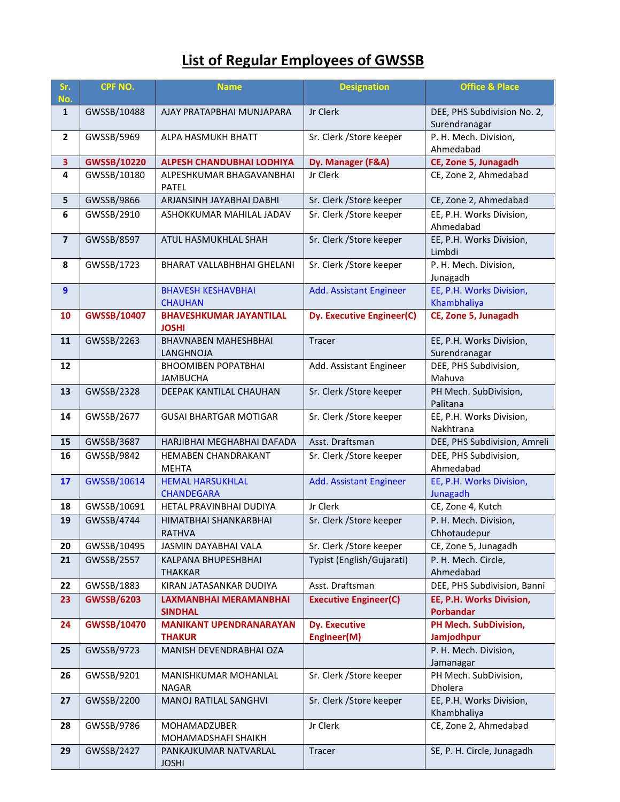### **List of Regular Employees of GWSSB**

| Sr.<br>No.              | CPF NO.            | <b>Name</b>                                     | <b>Designation</b>                  | <b>Office &amp; Place</b>                    |  |
|-------------------------|--------------------|-------------------------------------------------|-------------------------------------|----------------------------------------------|--|
| $\mathbf{1}$            | GWSSB/10488        | AJAY PRATAPBHAI MUNJAPARA                       | Jr Clerk                            | DEE, PHS Subdivision No. 2,<br>Surendranagar |  |
| $\overline{2}$          | GWSSB/5969         | ALPA HASMUKH BHATT                              | Sr. Clerk / Store keeper            | P. H. Mech. Division,<br>Ahmedabad           |  |
| 3                       | <b>GWSSB/10220</b> | <b>ALPESH CHANDUBHAI LODHIYA</b>                | Dy. Manager (F&A)                   | CE, Zone 5, Junagadh                         |  |
| $\overline{\mathbf{4}}$ | GWSSB/10180        | ALPESHKUMAR BHAGAVANBHAI<br><b>PATEL</b>        | Jr Clerk                            | CE, Zone 2, Ahmedabad                        |  |
| $5\phantom{a}$          | GWSSB/9866         | ARJANSINH JAYABHAI DABHI                        | Sr. Clerk / Store keeper            | CE, Zone 2, Ahmedabad                        |  |
| 6                       | GWSSB/2910         | ASHOKKUMAR MAHILAL JADAV                        | Sr. Clerk / Store keeper            | EE, P.H. Works Division,<br>Ahmedabad        |  |
| $\overline{\mathbf{z}}$ | GWSSB/8597         | ATUL HASMUKHLAL SHAH                            | Sr. Clerk / Store keeper            | EE, P.H. Works Division,<br>Limbdi           |  |
| 8                       | GWSSB/1723         | BHARAT VALLABHBHAI GHELANI                      | Sr. Clerk / Store keeper            | P. H. Mech. Division,<br>Junagadh            |  |
| 9                       |                    | <b>BHAVESH KESHAVBHAI</b><br><b>CHAUHAN</b>     | <b>Add. Assistant Engineer</b>      | EE, P.H. Works Division,<br>Khambhaliya      |  |
| 10                      | <b>GWSSB/10407</b> | <b>BHAVESHKUMAR JAYANTILAL</b><br><b>JOSHI</b>  | Dy. Executive Engineer(C)           | CE, Zone 5, Junagadh                         |  |
| 11                      | GWSSB/2263         | <b>BHAVNABEN MAHESHBHAI</b><br><b>LANGHNOJA</b> | Tracer                              | EE, P.H. Works Division,<br>Surendranagar    |  |
| 12                      |                    | <b>BHOOMIBEN POPATBHAI</b><br><b>JAMBUCHA</b>   | Add. Assistant Engineer             | DEE, PHS Subdivision,<br>Mahuva              |  |
| 13                      | GWSSB/2328         | DEEPAK KANTILAL CHAUHAN                         | Sr. Clerk / Store keeper            | PH Mech. SubDivision,<br>Palitana            |  |
| 14                      | GWSSB/2677         | <b>GUSAI BHARTGAR MOTIGAR</b>                   | Sr. Clerk / Store keeper            | EE, P.H. Works Division,<br>Nakhtrana        |  |
| 15                      | GWSSB/3687         | HARJIBHAI MEGHABHAI DAFADA                      | Asst. Draftsman                     | DEE, PHS Subdivision, Amreli                 |  |
| 16                      | GWSSB/9842         | <b>HEMABEN CHANDRAKANT</b><br><b>MEHTA</b>      | Sr. Clerk / Store keeper            | DEE, PHS Subdivision,<br>Ahmedabad           |  |
| 17                      | GWSSB/10614        | <b>HEMAL HARSUKHLAL</b><br><b>CHANDEGARA</b>    | <b>Add. Assistant Engineer</b>      | EE, P.H. Works Division,<br>Junagadh         |  |
| 18                      | GWSSB/10691        | HETAL PRAVINBHAI DUDIYA                         | Jr Clerk                            | CE, Zone 4, Kutch                            |  |
| 19                      | GWSSB/4744         | HIMATBHAI SHANKARBHAI<br><b>RATHVA</b>          | Sr. Clerk / Store keeper            | P. H. Mech. Division,<br>Chhotaudepur        |  |
| 20                      | GWSSB/10495        | JASMIN DAYABHAI VALA                            | Sr. Clerk / Store keeper            | CE, Zone 5, Junagadh                         |  |
| 21                      | GWSSB/2557         | KALPANA BHUPESHBHAI<br><b>THAKKAR</b>           | Typist (English/Gujarati)           | P. H. Mech. Circle,<br>Ahmedabad             |  |
| 22                      | GWSSB/1883         | KIRAN JATASANKAR DUDIYA                         | Asst. Draftsman                     | DEE, PHS Subdivision, Banni                  |  |
| 23                      | <b>GWSSB/6203</b>  | <b>LAXMANBHAI MERAMANBHAI</b><br><b>SINDHAL</b> | <b>Executive Engineer(C)</b>        | EE, P.H. Works Division,<br>Porbandar        |  |
| 24                      | <b>GWSSB/10470</b> | <b>MANIKANT UPENDRANARAYAN</b><br><b>THAKUR</b> | <b>Dy. Executive</b><br>Engineer(M) | PH Mech. SubDivision,<br>Jamjodhpur          |  |
| 25                      | GWSSB/9723         | MANISH DEVENDRABHAI OZA                         |                                     | P. H. Mech. Division,<br>Jamanagar           |  |
| 26                      | GWSSB/9201         | MANISHKUMAR MOHANLAL<br><b>NAGAR</b>            | Sr. Clerk / Store keeper            | PH Mech. SubDivision,<br>Dholera             |  |
| 27                      | GWSSB/2200         | <b>MANOJ RATILAL SANGHVI</b>                    | Sr. Clerk / Store keeper            | EE, P.H. Works Division,<br>Khambhaliya      |  |
| 28                      | GWSSB/9786         | MOHAMADZUBER<br>MOHAMADSHAFI SHAIKH             | Jr Clerk                            | CE, Zone 2, Ahmedabad                        |  |
| 29                      | GWSSB/2427         | PANKAJKUMAR NATVARLAL<br><b>JOSHI</b>           | Tracer                              | SE, P. H. Circle, Junagadh                   |  |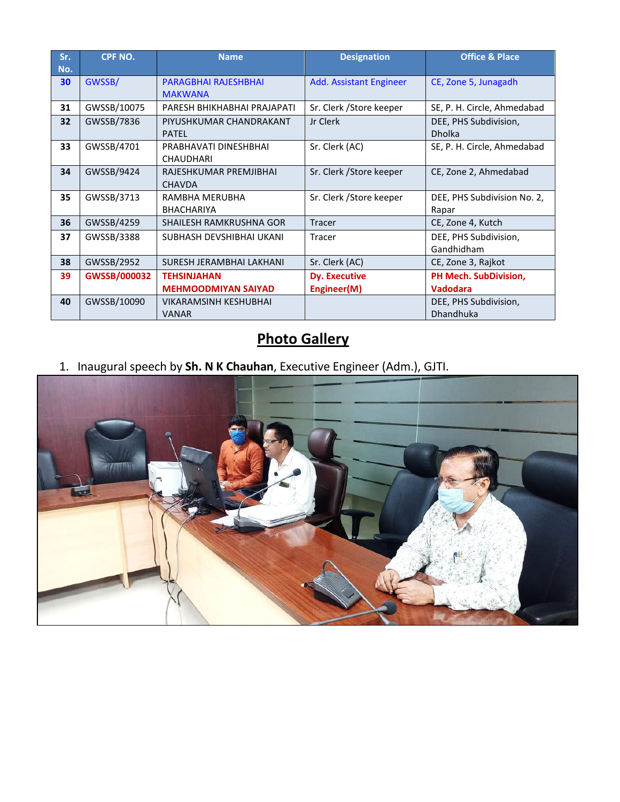| Sr.<br>No. | <b>CPF NO.</b> | <b>Name</b>                                  | <b>Designation</b>       | <b>Office &amp; Place</b>              |
|------------|----------------|----------------------------------------------|--------------------------|----------------------------------------|
| 30         | GWSSB/         | PARAGBHAI RAJESHBHAI<br><b>MAKWANA</b>       | Add. Assistant Engineer  | CE, Zone 5, Junagadh                   |
| 31         | GWSSB/10075    | PARESH BHIKHABHAI PRAJAPATI                  | Sr. Clerk / Store keeper | SE, P. H. Circle, Ahmedabad            |
| 32         | GWSSB/7836     | PIYUSHKUMAR CHANDRAKANT<br><b>PATEL</b>      | Jr Clerk                 | DEE, PHS Subdivision,<br><b>Dholka</b> |
| 33         | GWSSB/4701     | PRABHAVATI DINESHBHAI<br><b>CHAUDHARI</b>    | Sr. Clerk (AC)           | SE, P. H. Circle, Ahmedabad            |
| 34         | GWSSB/9424     | RAJESHKUMAR PREMJIBHAI<br><b>CHAVDA</b>      | Sr. Clerk / Store keeper | CE, Zone 2, Ahmedabad                  |
| 35         | GWSSB/3713     | RAMBHA MERUBHA<br><b>BHACHARIYA</b>          | Sr. Clerk / Store keeper | DEE, PHS Subdivision No. 2,<br>Rapar   |
| 36         | GWSSB/4259     | <b>SHAILESH RAMKRUSHNA GOR</b>               | <b>Tracer</b>            | CE, Zone 4, Kutch                      |
| 37         | GWSSB/3388     | SUBHASH DEVSHIBHAI UKANI                     | Tracer                   | DEE, PHS Subdivision,<br>Gandhidham    |
| 38         | GWSSB/2952     | SURESH JERAMBHAI LAKHANI                     | Sr. Clerk (AC)           | CE, Zone 3, Rajkot                     |
| 39         | GWSSB/000032   | <b>TEHSINJAHAN</b>                           | <b>Dy. Executive</b>     | <b>PH Mech. SubDivision,</b>           |
|            |                | <b>MEHMOODMIYAN SAIYAD</b>                   | Engineer(M)              | <b>Vadodara</b>                        |
| 40         | GWSSB/10090    | <b>VIKARAMSINH KESHUBHAI</b><br><b>VANAR</b> |                          | DEE, PHS Subdivision,<br>Dhandhuka     |

## **Photo Gallery**

1. Inaugural speech by **Sh. N K Chauhan**, Executive Engineer (Adm.), GJTI.